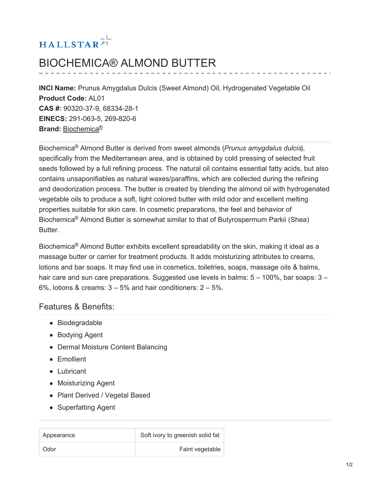# HALLSTAR<sup>71</sup>

## BIOCHEMICA® ALMOND BUTTER

**INCI Name:** Prunus Amygdalus Dulcis (Sweet Almond) Oil, Hydrogenated Vegetable Oil **Product Code:** AL01 **CAS #:** 90320-37-9, 68334-28-1 **EINECS:** 291-063-5, 269-820-6 **Brand:** [Biochemica](https://www.hallstar.com/brand/biochemica/) ®

Biochemica<sup>®</sup> Almond Butter is derived from sweet almonds (Prunus amygdalus dulcis), specifically from the Mediterranean area, and is obtained by cold pressing of selected fruit seeds followed by a full refining process. The natural oil contains essential fatty acids, but also contains unsaponifiables as natural waxes/paraffins, which are collected during the refining and deodorization process. The butter is created by blending the almond oil with hydrogenated vegetable oils to produce a soft, light colored butter with mild odor and excellent melting properties suitable for skin care. In cosmetic preparations, the feel and behavior of Biochemica<sup>®</sup> Almond Butter is somewhat similar to that of Butyrospermum Parkii (Shea) Butter.

Biochemica<sup>®</sup> Almond Butter exhibits excellent spreadability on the skin, making it ideal as a massage butter or carrier for treatment products. It adds moisturizing attributes to creams, lotions and bar soaps. It may find use in cosmetics, toiletries, soaps, massage oils & balms, hair care and sun care preparations. Suggested use levels in balms:  $5 - 100\%$ , bar soaps:  $3 -$ 6%, lotions & creams:  $3 - 5%$  and hair conditioners:  $2 - 5%$ .

#### Features & Benefits:

- Biodegradable
- Bodying Agent
- Dermal Moisture Content Balancing
- Emollient
- Lubricant
- Moisturizing Agent
- Plant Derived / Vegetal Based
- Superfatting Agent

| Appearance | Soft ivory to greenish solid fat |
|------------|----------------------------------|
| Odor       | Faint vegetable                  |